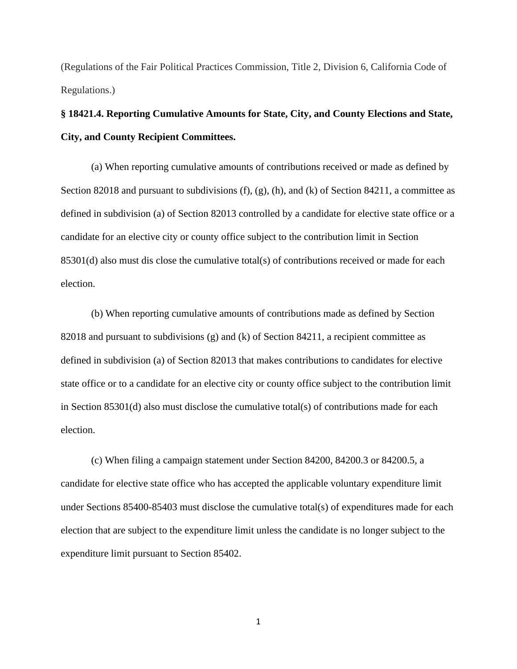(Regulations of the Fair Political Practices Commission, Title 2, Division 6, California Code of Regulations.)

## **§ 18421.4. Reporting Cumulative Amounts for State, City, and County Elections and State, City, and County Recipient Committees.**

(a) When reporting cumulative amounts of contributions received or made as defined by Section 82018 and pursuant to subdivisions (f), (g), (h), and (k) of Section 84211, a committee as defined in subdivision (a) of Section 82013 controlled by a candidate for elective state office or a candidate for an elective city or county office subject to the contribution limit in Section 85301(d) also must dis close the cumulative total(s) of contributions received or made for each election.

(b) When reporting cumulative amounts of contributions made as defined by Section 82018 and pursuant to subdivisions (g) and (k) of Section 84211, a recipient committee as defined in subdivision (a) of Section 82013 that makes contributions to candidates for elective state office or to a candidate for an elective city or county office subject to the contribution limit in Section 85301(d) also must disclose the cumulative total(s) of contributions made for each election.

(c) When filing a campaign statement under Section 84200, 84200.3 or 84200.5, a candidate for elective state office who has accepted the applicable voluntary expenditure limit under Sections 85400-85403 must disclose the cumulative total(s) of expenditures made for each election that are subject to the expenditure limit unless the candidate is no longer subject to the expenditure limit pursuant to Section 85402.

1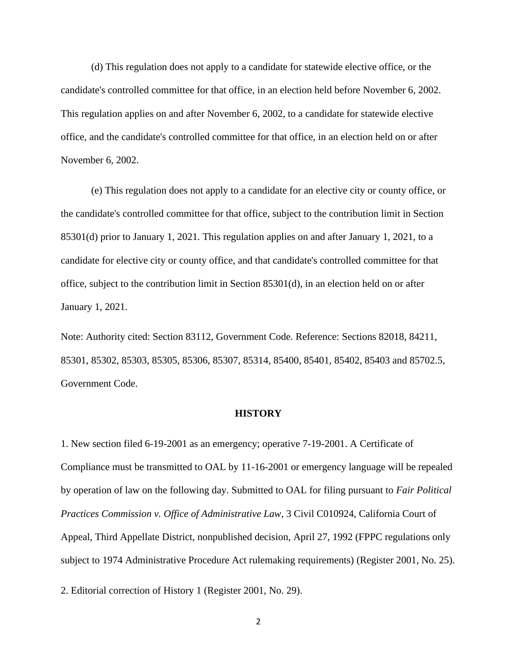(d) This regulation does not apply to a candidate for statewide elective office, or the candidate's controlled committee for that office, in an election held before November 6, 2002. This regulation applies on and after November 6, 2002, to a candidate for statewide elective office, and the candidate's controlled committee for that office, in an election held on or after November 6, 2002.

(e) This regulation does not apply to a candidate for an elective city or county office, or the candidate's controlled committee for that office, subject to the contribution limit in Section 85301(d) prior to January 1, 2021. This regulation applies on and after January 1, 2021, to a candidate for elective city or county office, and that candidate's controlled committee for that office, subject to the contribution limit in Section 85301(d), in an election held on or after January 1, 2021.

Note: Authority cited: Section 83112, Government Code. Reference: Sections 82018, 84211, 85301, 85302, 85303, 85305, 85306, 85307, 85314, 85400, 85401, 85402, 85403 and 85702.5, Government Code.

## **HISTORY**

1. New section filed 6-19-2001 as an emergency; operative 7-19-2001. A Certificate of Compliance must be transmitted to OAL by 11-16-2001 or emergency language will be repealed by operation of law on the following day. Submitted to OAL for filing pursuant to *Fair Political Practices Commission v. Office of Administrative Law*, 3 Civil C010924, California Court of Appeal, Third Appellate District, nonpublished decision, April 27, 1992 (FPPC regulations only subject to 1974 Administrative Procedure Act rulemaking requirements) (Register 2001, No. 25).

2. Editorial correction of History 1 (Register 2001, No. 29).